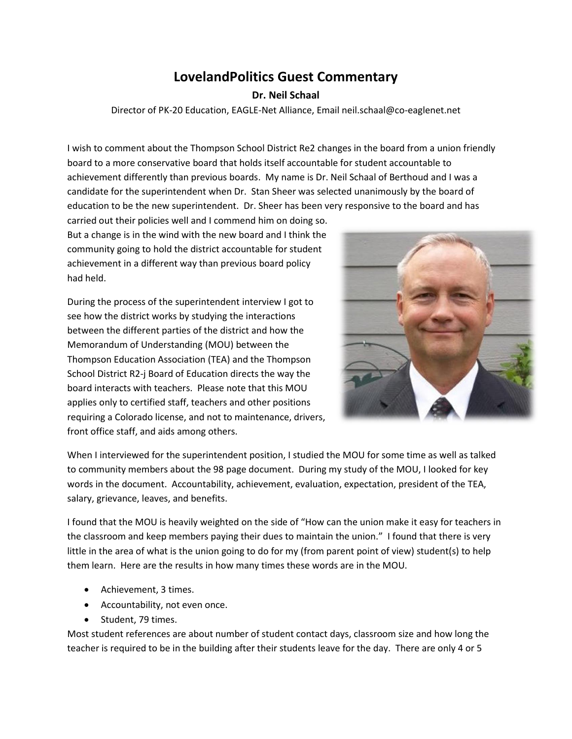## **LovelandPolitics Guest Commentary**

## **Dr. Neil Schaal**

Director of PK-20 Education, EAGLE-Net Alliance, Email neil.schaal@co-eaglenet.net

I wish to comment about the Thompson School District Re2 changes in the board from a union friendly board to a more conservative board that holds itself accountable for student accountable to achievement differently than previous boards. My name is Dr. Neil Schaal of Berthoud and I was a candidate for the superintendent when Dr. Stan Sheer was selected unanimously by the board of education to be the new superintendent. Dr. Sheer has been very responsive to the board and has

carried out their policies well and I commend him on doing so. But a change is in the wind with the new board and I think the community going to hold the district accountable for student achievement in a different way than previous board policy had held.

During the process of the superintendent interview I got to see how the district works by studying the interactions between the different parties of the district and how the Memorandum of Understanding (MOU) between the Thompson Education Association (TEA) and the Thompson School District R2-j Board of Education directs the way the board interacts with teachers. Please note that this MOU applies only to certified staff, teachers and other positions requiring a Colorado license, and not to maintenance, drivers, front office staff, and aids among others.



When I interviewed for the superintendent position, I studied the MOU for some time as well as talked to community members about the 98 page document. During my study of the MOU, I looked for key words in the document. Accountability, achievement, evaluation, expectation, president of the TEA, salary, grievance, leaves, and benefits.

I found that the MOU is heavily weighted on the side of "How can the union make it easy for teachers in the classroom and keep members paying their dues to maintain the union." I found that there is very little in the area of what is the union going to do for my (from parent point of view) student(s) to help them learn. Here are the results in how many times these words are in the MOU.

- Achievement, 3 times.
- Accountability, not even once.
- Student, 79 times.

Most student references are about number of student contact days, classroom size and how long the teacher is required to be in the building after their students leave for the day. There are only 4 or 5